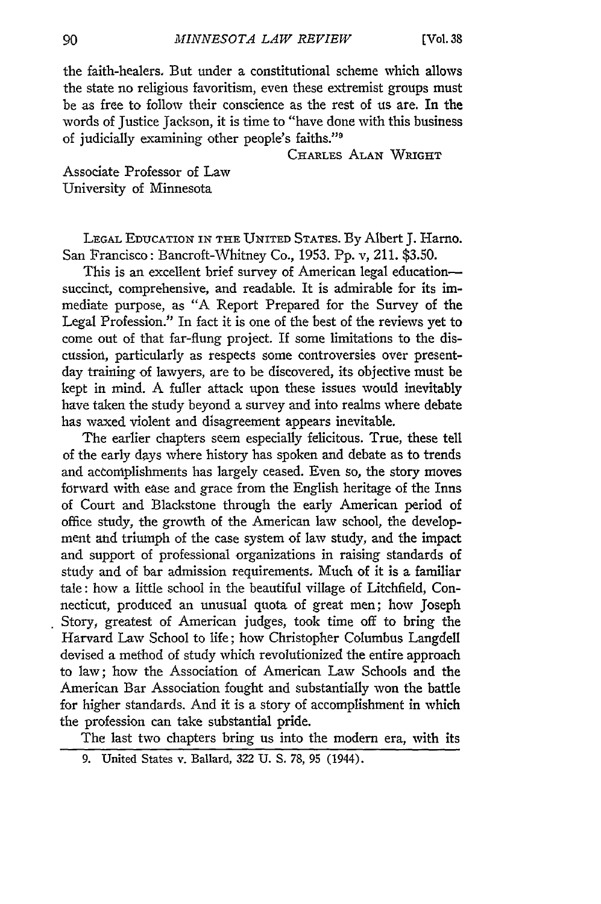the faith-healers, But under a constitutional scheme which allows the state no religious favoritism, even these extremist groups must be as free to follow their conscience as the rest of us are. In the words of Justice Jackson, it is time to "have done with this business of judicially examining other people's faiths."'

CHARLES ALAN WRIGHT

Associate Professor of Law University of Minnesota

LEGAL EDUCATION IN THE UNITED STATES. By Albert J. Harno. San Prancisco: Bancroft-Whitney Co., 1953. Pp. v, 211. \$3.50.

This is an excellent brief survey of American legal educationsuccinct, comprehensive, and readable. It is admirable for its immediate purpose, as "A Report Prepared for the Survey of the Legal Profession." In fact it is one of the best of the reviews yet to come out of that far-flung project. If some limitations to the discussion, particularly as respects some controversies over presentday training of lawyers, are to be discovered, its objective must be kept in mind. A fuller attack upon these issues would inevitably have taken the study beyond a survey and into realms where debate has waxed violent and disagreement appears inevitable.

The earlier chapters seem especially felicitous. True, these tell of the early days where history has spoken and debate as to trends and accomplishments has largely ceased. Even so, the story moves forward with ease and grace from the English heritage of the Inns of Court and Blackstone through the early American period of office study, the growth of the American law school, the development and triumph of the case system of law study, and the impact and support of professional organizations in raising standards of study and of bar admission requirements. Much of it is a familiar tale: how a little school in the beautiful village of Litchfield, Connecticut, produced an unusual quota of great men; how Joseph Story, greatest of American judges, took time off to bring the Harvard Law School to life; how Christopher Columbus Langdell devised a method of study which revolutionized the entire approach to law; how the Association of American Law Schools and the American Bar Association fought and substantially won the battle for higher standards. And it is a story of accomplishment in which the profession can take substantial pride.

The last two chapters bring us into the modem era, with its

9. United States v. Ballard, 322 U. S. 78, 95 (1944).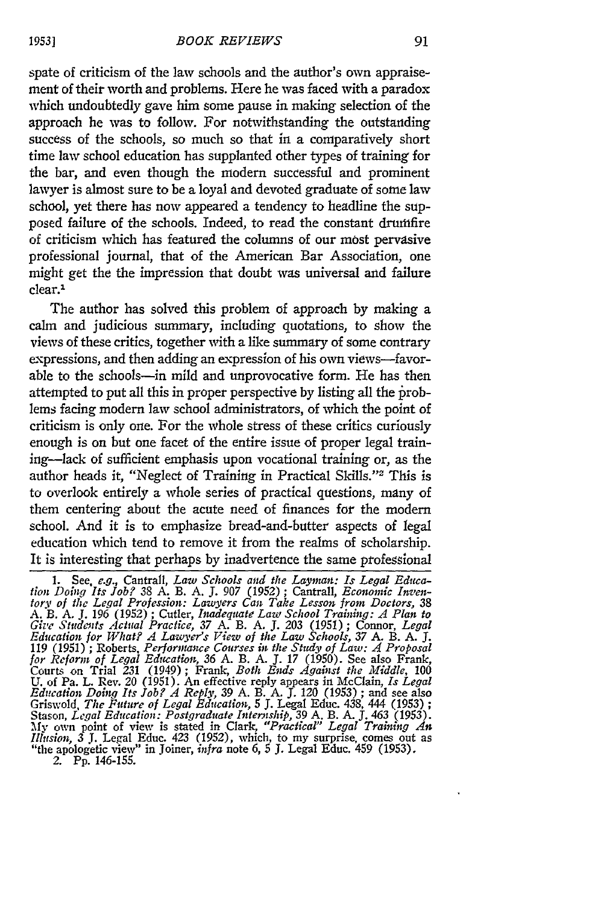spate of criticism of the law schools and the author's own appraisement of their worth and problems. Here he was faced with a paradox which undoubtedly gave him some pause in making selection of the approach he was to follow. For notwithstanding the outstanding success of the schools, so much so that in a comparatively short time law school education has supplanted other types of training for the bar, and even though the modern successful and prominent lawyer is almost sure to be a loyal and devoted graduate of some law school, yet there has now appeared a tendency to headline the supposed failure of the schools. Indeed, to read the constant drutifire of criticism which has featured the columns of our most pervasive professional journal, that of the American Bar Association, one might get the the impression that doubt was universal and failure clear.1

The author has solved this problem of approach by making a calm and judicious summary, including quotations, to show the views of these critics, together with a like summary of some contrary expressions, and then adding an expression of his own views-favorable to the schools-in mild and unprovocative form. He has then attempted to put all this in proper perspective by listing all the problems facing modern law school administrators, of which the point of criticism is only one. For the whole stress of these critics curiously enough is on but one facet of the entire issue of proper legal training-lack of sufficient emphasis upon vocational training or, as the author heads it, "Neglect of Training in Practical Skills."<sup>2</sup> This is to overlook entirely a whole series of practical questions, many of them centering about the acute need of finances for the modern school. And it is to emphasize bread-and-butter aspects of legal education which tend to remove it from the realms of scholarship. It is interesting that perhaps by inadvertence the same professional

*1953]*

<sup>1.</sup> See, *e.g.*, Cantrall, *Law Schools and the Layman: Is Legal Education Doing Its Job?* 38 A. B. A. J. 907 (1952); Cantrall, *Economic Inventory of the Legal Profession: Lawyers Can Take Lesson from Doctors,* 38 A. B. **A.** *J.* 196 (1952) ; Cutler, *Inadequate Law School Training: A Plan to Give Students Actual Practice, 37* A. B. A. J. *203* (1951) ; Connor, *Legal Education for What? A Lawyers View of the Law Schools, 37* A. B. A. J. 119 (1951) ; Roberts. *Performance Courses in the Study of Law: A Proposal for Reform of Legal Education, 36* A. B. A. **J.** 17 (1950). See also Frank, Courts on Trial 231 (1949); Frank, *Both Ends Against the Middle,* 100 U. **of** Pa. L. Rev. 20 (1951). An effective reply appears in McClain, *Is Legal Education Doing Its Job? A Reply,* 39 A. B. A. **J.** *120* (1953) ; and see also Griswold. *The Future of Legal Education,* **5 J.** Legal Educ. 438, 444 (1953) *;* Stason, *Legal Education: Postgraduate Internship*, 39 A. B. A. J. 463 (1953).<br>My own point of view is stated in Clark, "*Practical" Legal Training An*<br>Illusion, 3 J. Legal Educ. 423 (1952), which, to my surprise, comes ou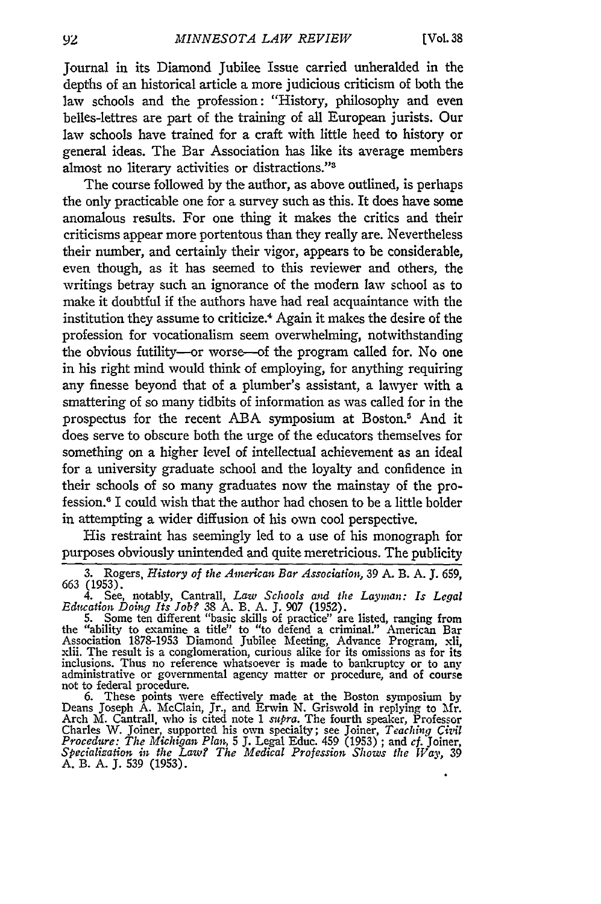Journal in its Diamond Jubilee Issue carried unheralded in the depths of an historical article a more judicious criticism of both the law schools and the profession: "History, philosophy and even belles-lettres are part of the training of all European jurists. Our law schools have trained for a craft with little heed to history or general ideas. The Bar Association has like its average members almost no literary activities or distractions."3

The course followed **by** the author, as above outlined, is perhaps the only practicable one for a survey such as this. It does have some anomalous results. For one thing it makes the critics and their criticisms appear more portentous than they really are. Nevertheless their number, and certainly their vigor, appears to be considerable, even though, as it has seemed to this reviewer and others, the writings betray such an ignorance of the modem law school as to make it doubtful if the authors have had real acquaintance with the institution they assume to criticize.4 Again it makes the desire of the profession for vocationalism seem overwhelming, notwithstanding the obvious futility-or worse--of the program called for. No one in his right mind would think of employing, for anything requiring any finesse beyond that of a plumber's assistant, a lawyer with a smattering of so many tidbits of information as was called for in the prospectus for the recent ABA symposium at Boston.5 And it does serve to obscure both the urge of the educators themselves for something on a higher level of intellectual achievement as an ideal for a university graduate school and the loyalty and confidence in their schools of so many graduates now the mainstay of the profession." I could wish that the author had chosen to be a little bolder in attempting a wider diffusion of his own cool perspective.

His restraint has seemingly led to a use of his monograph for purposes obviously unintended and quite meretricious. The publicity

**3.** Rogers, *History of the American Bar Association,* 39 A. B. **A. J.** 659, 663 (1953).

4. See, notably, Cantrall, *Law Schools and the Layman: Is Legal Education Doing Its Job? 38* **A.** B. A. **J. 907** (1952). 5. Some ten different "basic skills of practice" are listed, ranging from

the "ability to examine a title" to "to defend a criminal." American Bar Association 1878-1953 Diamond Jubilee Meeting, Advance Program, xli, xlii. The result is a conglomeration, curious alike for its omissions as for its administrative or governmental agency matter or procedure, and of course not to federal procedure.

6. These points were effectively made at the Boston symposium **by** Deans Joseph A. McClain, Jr., and Erwin N. Griswold in replying to fr. Arch M. Cantrall. who is cited note 1 *supra.* The fourth speaker, Professor Charles W. Joiner, supported his own specialty; see Joiner, *Teaching CizQl Procedure: The Michigan Plan,* 5 J. Legal Educ. 459 (1953) ; and *cf.* Joiner, *Specialization in the Law? The Medical Profession Shows the Way,* 39 **A.** B. **A. J.** 539 (1953).